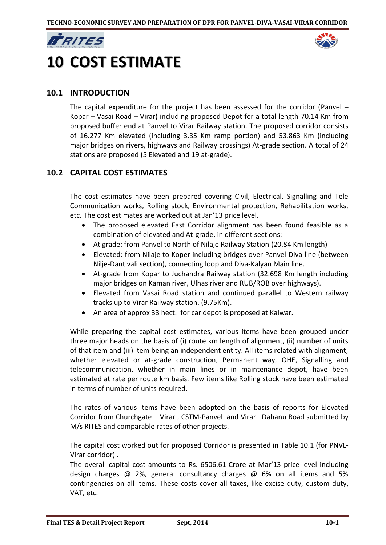



# **10 COST ESTIMATE**

# **10.1 INTRODUCTION**

The capital expenditure for the project has been assessed for the corridor (Panvel – Kopar – Vasai Road – Virar) including proposed Depot for a total length 70.14 Km from proposed buffer end at Panvel to Virar Railway station. The proposed corridor consists of 16.277 Km elevated (including 3.35 Km ramp portion) and 53.863 Km (including major bridges on rivers, highways and Railway crossings) At-grade section. A total of 24 stations are proposed (5 Elevated and 19 at-grade).

# **10.2 CAPITAL COST ESTIMATES**

The cost estimates have been prepared covering Civil, Electrical, Signalling and Tele Communication works, Rolling stock, Environmental protection, Rehabilitation works, etc. The cost estimates are worked out at Jan'13 price level.

- The proposed elevated Fast Corridor alignment has been found feasible as a combination of elevated and At-grade, in different sections:
- At grade: from Panvel to North of Nilaje Railway Station (20.84 Km length)
- Elevated: from Nilaje to Koper including bridges over Panvel-Diva line (between Nilje-Dantivali section), connecting loop and Diva-Kalyan Main line.
- At-grade from Kopar to Juchandra Railway station (32.698 Km length including major bridges on Kaman river, Ulhas river and RUB/ROB over highways).
- Elevated from Vasai Road station and continued parallel to Western railway tracks up to Virar Railway station. (9.75Km).
- An area of approx 33 hect. for car depot is proposed at Kalwar.

While preparing the capital cost estimates, various items have been grouped under three major heads on the basis of (i) route km length of alignment, (ii) number of units of that item and (iii) item being an independent entity. All items related with alignment, whether elevated or at-grade construction, Permanent way, OHE, Signalling and telecommunication, whether in main lines or in maintenance depot, have been estimated at rate per route km basis. Few items like Rolling stock have been estimated in terms of number of units required.

The rates of various items have been adopted on the basis of reports for Elevated Corridor from Churchgate – Virar , CSTM-Panvel and Virar –Dahanu Road submitted by M/s RITES and comparable rates of other projects.

The capital cost worked out for proposed Corridor is presented in Table 10.1 (for PNVL-Virar corridor) .

The overall capital cost amounts to Rs. 6506.61 Crore at Mar'13 price level including design charges @ 2%, general consultancy charges @ 6% on all items and 5% contingencies on all items. These costs cover all taxes, like excise duty, custom duty, VAT, etc.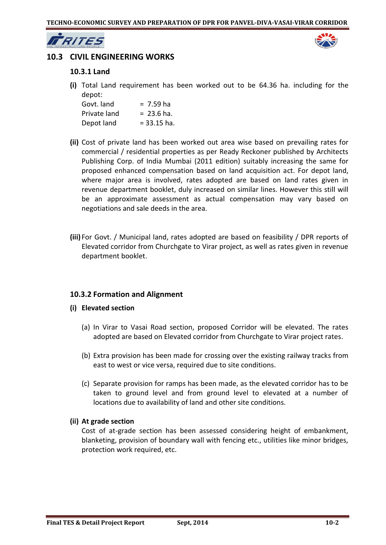

# **10.3 CIVIL ENGINEERING WORKS**

## **10.3.1 Land**

**(i)** Total Land requirement has been worked out to be 64.36 ha. including for the depot:

| Govt. land   | $= 7.59$ ha   |
|--------------|---------------|
| Private land | $= 23.6$ ha.  |
| Depot land   | $= 33.15$ ha. |

- **(ii)** Cost of private land has been worked out area wise based on prevailing rates for commercial / residential properties as per Ready Reckoner published by Architects Publishing Corp. of India Mumbai (2011 edition) suitably increasing the same for proposed enhanced compensation based on land acquisition act. For depot land, where major area is involved, rates adopted are based on land rates given in revenue department booklet, duly increased on similar lines. However this still will be an approximate assessment as actual compensation may vary based on negotiations and sale deeds in the area.
- **(iii)** For Govt. / Municipal land, rates adopted are based on feasibility / DPR reports of Elevated corridor from Churchgate to Virar project, as well as rates given in revenue department booklet.

## **10.3.2 Formation and Alignment**

- **(i) Elevated section** 
	- (a) In Virar to Vasai Road section, proposed Corridor will be elevated. The rates adopted are based on Elevated corridor from Churchgate to Virar project rates.
	- (b) Extra provision has been made for crossing over the existing railway tracks from east to west or vice versa, required due to site conditions.
	- (c) Separate provision for ramps has been made, as the elevated corridor has to be taken to ground level and from ground level to elevated at a number of locations due to availability of land and other site conditions.

#### **(ii) At grade section**

Cost of at-grade section has been assessed considering height of embankment, blanketing, provision of boundary wall with fencing etc., utilities like minor bridges, protection work required, etc.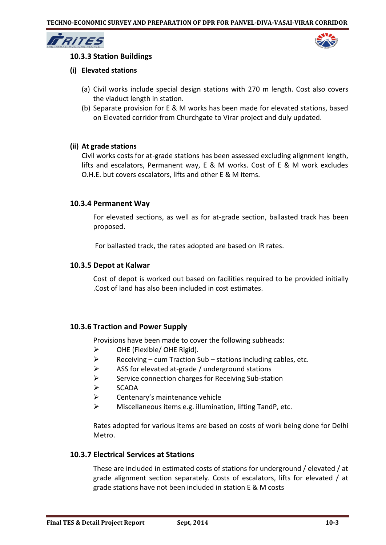

## **10.3.3 Station Buildings**

### **(i) Elevated stations**

- (a) Civil works include special design stations with 270 m length. Cost also covers the viaduct length in station.
- (b) Separate provision for E & M works has been made for elevated stations, based on Elevated corridor from Churchgate to Virar project and duly updated.

### **(ii) At grade stations**

Civil works costs for at-grade stations has been assessed excluding alignment length, lifts and escalators, Permanent way, E & M works. Cost of E & M work excludes O.H.E. but covers escalators, lifts and other E & M items.

## **10.3.4 Permanent Way**

For elevated sections, as well as for at-grade section, ballasted track has been proposed.

For ballasted track, the rates adopted are based on IR rates.

### **10.3.5 Depot at Kalwar**

Cost of depot is worked out based on facilities required to be provided initially .Cost of land has also been included in cost estimates.

## **10.3.6 Traction and Power Supply**

Provisions have been made to cover the following subheads:

- $\triangleright$  OHE (Flexible/ OHE Rigid).
- $\triangleright$  Receiving cum Traction Sub stations including cables, etc.
- $\triangleright$  ASS for elevated at-grade / underground stations
- $\triangleright$  Service connection charges for Receiving Sub-station
- $\triangleright$  SCADA
- $\triangleright$  Centenary's maintenance vehicle
- $\triangleright$  Miscellaneous items e.g. illumination, lifting TandP, etc.

Rates adopted for various items are based on costs of work being done for Delhi Metro.

#### **10.3.7 Electrical Services at Stations**

These are included in estimated costs of stations for underground / elevated / at grade alignment section separately. Costs of escalators, lifts for elevated / at grade stations have not been included in station E & M costs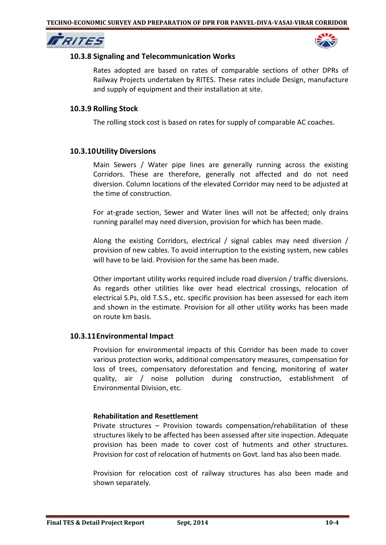



## **10.3.8 Signaling and Telecommunication Works**

Rates adopted are based on rates of comparable sections of other DPRs of Railway Projects undertaken by RITES. These rates include Design, manufacture and supply of equipment and their installation at site.

## **10.3.9 Rolling Stock**

The rolling stock cost is based on rates for supply of comparable AC coaches.

## **10.3.10Utility Diversions**

Main Sewers / Water pipe lines are generally running across the existing Corridors. These are therefore, generally not affected and do not need diversion. Column locations of the elevated Corridor may need to be adjusted at the time of construction.

For at-grade section, Sewer and Water lines will not be affected; only drains running parallel may need diversion, provision for which has been made.

Along the existing Corridors, electrical / signal cables may need diversion / provision of new cables. To avoid interruption to the existing system, new cables will have to be laid. Provision for the same has been made.

Other important utility works required include road diversion / traffic diversions. As regards other utilities like over head electrical crossings, relocation of electrical S.Ps, old T.S.S., etc. specific provision has been assessed for each item and shown in the estimate. Provision for all other utility works has been made on route km basis.

#### **10.3.11Environmental Impact**

Provision for environmental impacts of this Corridor has been made to cover various protection works, additional compensatory measures, compensation for loss of trees, compensatory deforestation and fencing, monitoring of water quality, air / noise pollution during construction, establishment of Environmental Division, etc.

#### **Rehabilitation and Resettlement**

Private structures – Provision towards compensation/rehabilitation of these structures likely to be affected has been assessed after site inspection. Adequate provision has been made to cover cost of hutments and other structures. Provision for cost of relocation of hutments on Govt. land has also been made.

Provision for relocation cost of railway structures has also been made and shown separately.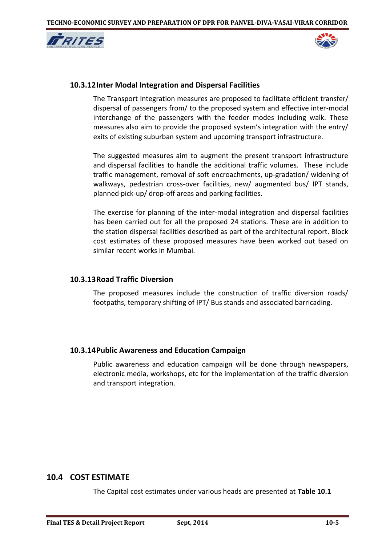



## **10.3.12Inter Modal Integration and Dispersal Facilities**

The Transport Integration measures are proposed to facilitate efficient transfer/ dispersal of passengers from/ to the proposed system and effective inter-modal interchange of the passengers with the feeder modes including walk. These measures also aim to provide the proposed system's integration with the entry/ exits of existing suburban system and upcoming transport infrastructure.

The suggested measures aim to augment the present transport infrastructure and dispersal facilities to handle the additional traffic volumes. These include traffic management, removal of soft encroachments, up-gradation/ widening of walkways, pedestrian cross-over facilities, new/ augmented bus/ IPT stands, planned pick-up/ drop-off areas and parking facilities.

The exercise for planning of the inter-modal integration and dispersal facilities has been carried out for all the proposed 24 stations. These are in addition to the station dispersal facilities described as part of the architectural report. Block cost estimates of these proposed measures have been worked out based on similar recent works in Mumbai.

## **10.3.13Road Traffic Diversion**

The proposed measures include the construction of traffic diversion roads/ footpaths, temporary shifting of IPT/ Bus stands and associated barricading.

#### **10.3.14Public Awareness and Education Campaign**

Public awareness and education campaign will be done through newspapers, electronic media, workshops, etc for the implementation of the traffic diversion and transport integration.

# **10.4 COST ESTIMATE**

The Capital cost estimates under various heads are presented at **Table 10.1**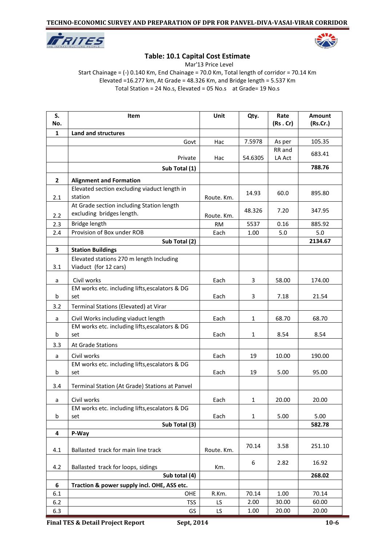



# **Table: 10.1 Capital Cost Estimate**

Mar'13 Price Level

Start Chainage = (-) 0.140 Km, End Chainage = 70.0 Km, Total length of corridor = 70.14 Km Elevated =16.277 km, At Grade = 48.326 Km, and Bridge length = 5.537 Km Total Station = 24 No.s, Elevated = 05 No.s at Grade= 19 No.s

| S.<br>No.    | Item                                                          | Unit        | Qty.    | Rate<br>(Rs.Cr)  | Amount<br>(Rs.Cr.) |
|--------------|---------------------------------------------------------------|-------------|---------|------------------|--------------------|
| $\mathbf{1}$ | Land and structures                                           |             |         |                  |                    |
|              | Govt                                                          | Hac         | 7.5978  | As per           | 105.35             |
|              | Private                                                       | Hac         | 54.6305 | RR and<br>LA Act | 683.41             |
|              |                                                               |             |         |                  | 788.76             |
|              | Sub Total (1)                                                 |             |         |                  |                    |
| $\mathbf{2}$ | <b>Alignment and Formation</b>                                |             |         |                  |                    |
|              | Elevated section excluding viaduct length in<br>station       |             | 14.93   | 60.0             | 895.80             |
| 2.1          | At Grade section including Station length                     | Route. Km.  |         |                  |                    |
|              | excluding bridges length.                                     |             | 48.326  | 7.20             | 347.95             |
| 2.2          | Bridge length                                                 | Route. Km.  | 5537    | 0.16             | 885.92             |
| 2.3<br>2.4   | Provision of Box under ROB                                    | RM.<br>Each | 1.00    | 5.0              | 5.0                |
|              | Sub Total (2)                                                 |             |         |                  | 2134.67            |
| 3            | <b>Station Buildings</b>                                      |             |         |                  |                    |
|              | Elevated stations 270 m length Including                      |             |         |                  |                    |
| 3.1          | Viaduct (for 12 cars)                                         |             |         |                  |                    |
|              |                                                               |             |         |                  |                    |
| a            | Civil works                                                   | Each        | 3       | 58.00            | 174.00             |
| b            | EM works etc. including lifts, escalators & DG<br>set         | Each        | 3       | 7.18             | 21.54              |
| 3.2          | Terminal Stations (Elevated) at Virar                         |             |         |                  |                    |
|              |                                                               |             |         |                  |                    |
| a            | Civil Works including viaduct length                          | Each        | 1       | 68.70            | 68.70              |
|              | EM works etc. including lifts, escalators & DG                |             |         |                  |                    |
| b            | set                                                           | Each        | 1       | 8.54             | 8.54               |
| 3.3          | At Grade Stations                                             |             |         |                  |                    |
| a            | Civil works                                                   | Each        | 19      | 10.00            | 190.00             |
|              | EM works etc. including lifts, escalators & DG                |             |         |                  |                    |
| b            | set                                                           | Each        | 19      | 5.00             | 95.00              |
| 3.4          | Terminal Station (At Grade) Stations at Panvel                |             |         |                  |                    |
|              |                                                               |             |         |                  |                    |
| a            | Civil works<br>EM works etc. including lifts, escalators & DG | Each        | 1       | 20.00            | 20.00              |
| b            | set                                                           | Each        | 1       | 5.00             | 5.00               |
|              | Sub Total (3)                                                 |             |         |                  | 582.78             |
| 4            | P-Way                                                         |             |         |                  |                    |
| 4.1          | Ballasted track for main line track                           | Route. Km.  | 70.14   | 3.58             | 251.10             |
|              |                                                               |             |         |                  |                    |
| 4.2          | Ballasted track for loops, sidings                            | Km.         | 6       | 2.82             | 16.92              |
|              | Sub total (4)                                                 |             |         |                  | 268.02             |
| 6            | Traction & power supply incl. OHE, ASS etc.                   |             |         |                  |                    |
| 6.1          | OHE                                                           | R.Km.       | 70.14   | 1.00             | 70.14              |
| 6.2          | <b>TSS</b>                                                    | LS.         | 2.00    | 30.00            | 60.00              |
| 6.3          | GS                                                            | LS          | 1.00    | 20.00            | 20.00              |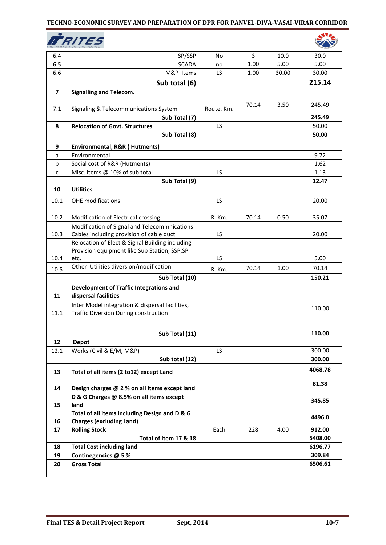

| 6.4            | SP/SSP                                                          | No         | 3     | 10.0  | 30.0    |
|----------------|-----------------------------------------------------------------|------------|-------|-------|---------|
| 6.5            | <b>SCADA</b>                                                    | no         | 1.00  | 5.00  | 5.00    |
| 6.6            | M&P Items                                                       | LS         | 1.00  | 30.00 | 30.00   |
|                | Sub total (6)                                                   |            |       |       | 215.14  |
| $\overline{7}$ | <b>Signalling and Telecom.</b>                                  |            |       |       |         |
|                |                                                                 |            |       |       |         |
| 7.1            | Signaling & Telecommunications System                           | Route. Km. | 70.14 | 3.50  | 245.49  |
|                | Sub Total (7)                                                   |            |       |       | 245.49  |
| 8              | <b>Relocation of Govt. Structures</b>                           | LS         |       |       | 50.00   |
|                | Sub Total (8)                                                   |            |       |       | 50.00   |
| 9              |                                                                 |            |       |       |         |
|                | Environmental, R&R (Hutments)<br>Environmental                  |            |       |       | 9.72    |
| a<br>b         | Social cost of R&R (Hutments)                                   |            |       |       | 1.62    |
| c              | Misc. items @ 10% of sub total                                  | LS         |       |       | 1.13    |
|                | Sub Total (9)                                                   |            |       |       | 12.47   |
| 10             | <b>Utilities</b>                                                |            |       |       |         |
|                |                                                                 |            |       |       |         |
| 10.1           | <b>OHE</b> modifications                                        | LS         |       |       | 20.00   |
|                |                                                                 |            |       |       |         |
| 10.2           | Modification of Electrical crossing                             | R. Km.     | 70.14 | 0.50  | 35.07   |
|                | Modification of Signal and Telecommnications                    |            |       |       |         |
| 10.3           | Cables including provision of cable duct                        | LS         |       |       | 20.00   |
|                | Relocation of Elect & Signal Building including                 |            |       |       |         |
| 10.4           | Provision equipment like Sub Station, SSP, SP                   | LS         |       |       | 5.00    |
|                | etc.<br>Other Utilities diversion/modification                  |            |       |       |         |
| 10.5           |                                                                 | R. Km.     | 70.14 | 1.00  | 70.14   |
|                | Sub Total (10)                                                  |            |       |       | 150.21  |
| 11             | Development of Traffic Integrations and<br>dispersal facilities |            |       |       |         |
|                | Inter Model integration & dispersal facilities,                 |            |       |       | 110.00  |
| 11.1           | Traffic Diversion During construction                           |            |       |       |         |
|                |                                                                 |            |       |       |         |
|                | Sub Total (11)                                                  |            |       |       | 110.00  |
| $12\,$         | <b>Depot</b>                                                    |            |       |       |         |
| 12.1           | Works (Civil & E/M, M&P)                                        | LS.        |       |       | 300.00  |
|                | Sub total (12)                                                  |            |       |       | 300.00  |
|                |                                                                 |            |       |       | 4068.78 |
| 13             | Total of all items (2 to12) except Land                         |            |       |       |         |
| 14             | Design charges @ 2 % on all items except land                   |            |       |       | 81.38   |
| 15             | D & G Charges @ 8.5% on all items except<br>land                |            |       |       | 345.85  |
|                | Total of all items including Design and D & G                   |            |       |       | 4496.0  |
| 16             | <b>Charges (excluding Land)</b>                                 |            |       |       |         |
| 17             | <b>Rolling Stock</b>                                            | Each       | 228   | 4.00  | 912.00  |
|                | Total of item 17 & 18                                           |            |       |       | 5408.00 |
| 18             | <b>Total Cost including land</b>                                |            |       |       | 6196.77 |
| 19             | Continegencies @ 5%                                             |            |       |       | 309.84  |
| 20             | <b>Gross Total</b>                                              |            |       |       | 6506.61 |
|                |                                                                 |            |       |       |         |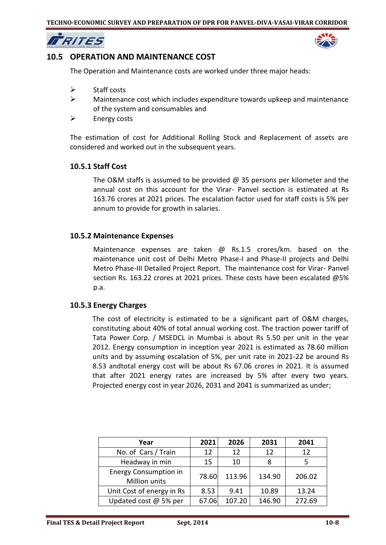



# **10.5 OPERATION AND MAINTENANCE COST**

The Operation and Maintenance costs are worked under three major heads:

- $\triangleright$  Staff costs
- $\triangleright$  Maintenance cost which includes expenditure towards upkeep and maintenance of the system and consumables and
- $\triangleright$  Energy costs

The estimation of cost for Additional Rolling Stock and Replacement of assets are considered and worked out in the subsequent years.

## **10.5.1 Staff Cost**

The O&M staffs is assumed to be provided  $\omega$  35 persons per kilometer and the annual cost on this account for the Virar- Panvel section is estimated at Rs 163.76 crores at 2021 prices. The escalation factor used for staff costs is 5% per annum to provide for growth in salaries.

## **10.5.2 Maintenance Expenses**

Maintenance expenses are taken @ Rs.1.5 crores/km. based on the maintenance unit cost of Delhi Metro Phase-I and Phase-II projects and Delhi Metro Phase-III Detailed Project Report. The maintenance cost for Virar- Panvel section Rs. 163.22 crores at 2021 prices. These costs have been escalated @5% p.a.

## **10.5.3 Energy Charges**

The cost of electricity is estimated to be a significant part of O&M charges, constituting about 40% of total annual working cost. The traction power tariff of Tata Power Corp. / MSEDCL in Mumbai is about Rs 5.50 per unit in the year 2012. Energy consumption in inception year 2021 is estimated as 78.60 million units and by assuming escalation of 5%, per unit rate in 2021-22 be around Rs 8.53 andtotal energy cost will be about Rs 67.06 crores in 2021. It is assumed that after 2021 energy rates are increased by 5% after every two years. Projected energy cost in year 2026, 2031 and 2041 is summarized as under;

| Year                                          | 2021  | 2026   | 2031   | 2041   |
|-----------------------------------------------|-------|--------|--------|--------|
| No. of Cars / Train                           | 12    | 12     | 12     | 12     |
| Headway in min                                | 15    | 10     |        |        |
| <b>Energy Consumption in</b><br>Million units | 78.60 | 113.96 | 134.90 | 206.02 |
| Unit Cost of energy in Rs                     | 8.53  | 9.41   | 10.89  | 13.24  |
| Updated cost $@$ 5% per                       | 67.06 | 107.20 | 146.90 | 272.69 |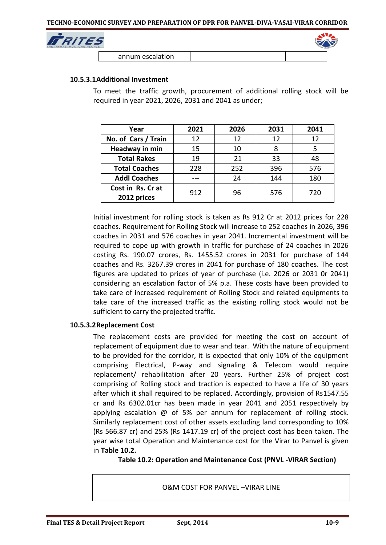

| annum escalation |  |  |
|------------------|--|--|

### **10.5.3.1Additional Investment**

To meet the traffic growth, procurement of additional rolling stock will be required in year 2021, 2026, 2031 and 2041 as under;

| Year                 | 2021 | 2026 | 2031 | 2041 |
|----------------------|------|------|------|------|
| No. of Cars / Train  | 12   | 12   | 12   | 12   |
| Headway in min       | 15   | 10   | 8    | 5    |
| <b>Total Rakes</b>   | 19   | 21   | 33   | 48   |
| <b>Total Coaches</b> | 228  | 252  | 396  | 576  |
| <b>Addl Coaches</b>  |      | 24   | 144  | 180  |
| Cost in Rs. Cr at    | 912  | 96   | 576  | 720  |
| 2012 prices          |      |      |      |      |

Initial investment for rolling stock is taken as Rs 912 Cr at 2012 prices for 228 coaches. Requirement for Rolling Stock will increase to 252 coaches in 2026, 396 coaches in 2031 and 576 coaches in year 2041. Incremental investment will be required to cope up with growth in traffic for purchase of 24 coaches in 2026 costing Rs. 190.07 crores, Rs. 1455.52 crores in 2031 for purchase of 144 coaches and Rs. 3267.39 crores in 2041 for purchase of 180 coaches. The cost figures are updated to prices of year of purchase (i.e. 2026 or 2031 0r 2041) considering an escalation factor of 5% p.a. These costs have been provided to take care of increased requirement of Rolling Stock and related equipments to take care of the increased traffic as the existing rolling stock would not be sufficient to carry the projected traffic.

## **10.5.3.2Replacement Cost**

The replacement costs are provided for meeting the cost on account of replacement of equipment due to wear and tear. With the nature of equipment to be provided for the corridor, it is expected that only 10% of the equipment comprising Electrical, P-way and signaling & Telecom would require replacement/ rehabilitation after 20 years. Further 25% of project cost comprising of Rolling stock and traction is expected to have a life of 30 years after which it shall required to be replaced. Accordingly, provision of Rs1547.55 cr and Rs 6302.01cr has been made in year 2041 and 2051 respectively by applying escalation @ of 5% per annum for replacement of rolling stock. Similarly replacement cost of other assets excluding land corresponding to 10% (Rs 566.87 cr) and 25% (Rs 1417.19 cr) of the project cost has been taken. The year wise total Operation and Maintenance cost for the Virar to Panvel is given in **Table 10.2.**

**Table 10.2: Operation and Maintenance Cost (PNVL -VIRAR Section)**

O&M COST FOR PANVEL –VIRAR LINE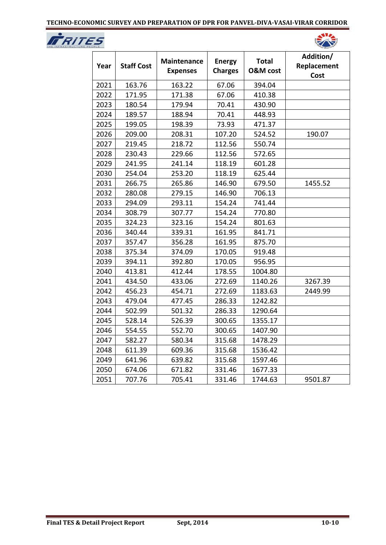



| Year | <b>Staff Cost</b> | <b>Maintenance</b><br><b>Expenses</b> | <b>Energy</b><br><b>Charges</b> | <b>Total</b><br><b>O&amp;M</b> cost | Addition/<br>Replacement<br>Cost |
|------|-------------------|---------------------------------------|---------------------------------|-------------------------------------|----------------------------------|
| 2021 | 163.76            | 163.22                                | 67.06                           | 394.04                              |                                  |
| 2022 | 171.95            | 171.38                                | 67.06                           | 410.38                              |                                  |
| 2023 | 180.54            | 179.94                                | 70.41                           | 430.90                              |                                  |
| 2024 | 189.57            | 188.94                                | 70.41                           | 448.93                              |                                  |
| 2025 | 199.05            | 198.39                                | 73.93                           | 471.37                              |                                  |
| 2026 | 209.00            | 208.31                                | 107.20                          | 524.52                              | 190.07                           |
| 2027 | 219.45            | 218.72                                | 112.56                          | 550.74                              |                                  |
| 2028 | 230.43            | 229.66                                | 112.56                          | 572.65                              |                                  |
| 2029 | 241.95            | 241.14                                | 118.19                          | 601.28                              |                                  |
| 2030 | 254.04            | 253.20                                | 118.19                          | 625.44                              |                                  |
| 2031 | 266.75            | 265.86                                | 146.90                          | 679.50                              | 1455.52                          |
| 2032 | 280.08            | 279.15                                | 146.90                          | 706.13                              |                                  |
| 2033 | 294.09            | 293.11                                | 154.24                          | 741.44                              |                                  |
| 2034 | 308.79            | 307.77                                | 154.24                          | 770.80                              |                                  |
| 2035 | 324.23            | 323.16                                | 154.24                          | 801.63                              |                                  |
| 2036 | 340.44            | 339.31                                | 161.95                          | 841.71                              |                                  |
| 2037 | 357.47            | 356.28                                | 161.95                          | 875.70                              |                                  |
| 2038 | 375.34            | 374.09                                | 170.05                          | 919.48                              |                                  |
| 2039 | 394.11            | 392.80                                | 170.05                          | 956.95                              |                                  |
| 2040 | 413.81            | 412.44                                | 178.55                          | 1004.80                             |                                  |
| 2041 | 434.50            | 433.06                                | 272.69                          | 1140.26                             | 3267.39                          |
| 2042 | 456.23            | 454.71                                | 272.69                          | 1183.63                             | 2449.99                          |
| 2043 | 479.04            | 477.45                                | 286.33                          | 1242.82                             |                                  |
| 2044 | 502.99            | 501.32                                | 286.33                          | 1290.64                             |                                  |
| 2045 | 528.14            | 526.39                                | 300.65                          | 1355.17                             |                                  |
| 2046 | 554.55            | 552.70                                | 300.65                          | 1407.90                             |                                  |
| 2047 | 582.27            | 580.34                                | 315.68                          | 1478.29                             |                                  |
| 2048 | 611.39            | 609.36                                | 315.68                          | 1536.42                             |                                  |
| 2049 | 641.96            | 639.82                                | 315.68                          | 1597.46                             |                                  |
| 2050 | 674.06            | 671.82                                | 331.46                          | 1677.33                             |                                  |
| 2051 | 707.76            | 705.41                                | 331.46                          | 1744.63                             | 9501.87                          |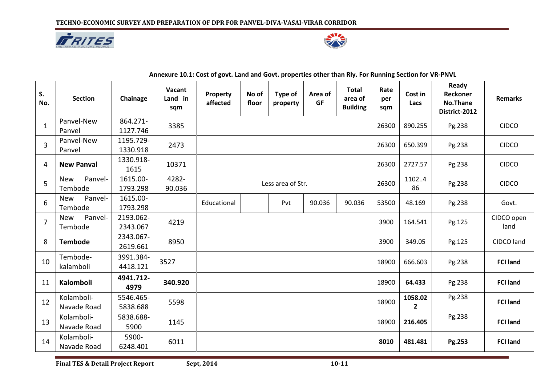



| S.             | <b>Section</b>                   | Chainage              | Vacant<br>Land in | Property    | No of             | Type of  | Area of | <b>Total</b><br>area of | Rate<br>per | Cost in                 | Ready<br>Reckoner         | <b>Remarks</b>     |
|----------------|----------------------------------|-----------------------|-------------------|-------------|-------------------|----------|---------|-------------------------|-------------|-------------------------|---------------------------|--------------------|
| No.            |                                  |                       | sqm               | affected    | floor             | property | GF      | <b>Building</b>         | sqm         | Lacs                    | No.Thane<br>District-2012 |                    |
| $\mathbf{1}$   | Panvel-New<br>Panvel             | 864.271-<br>1127.746  | 3385              |             |                   |          |         |                         | 26300       | 890.255                 | Pg.238                    | <b>CIDCO</b>       |
| 3              | Panvel-New<br>Panvel             | 1195.729-<br>1330.918 | 2473              |             |                   |          |         |                         | 26300       | 650.399                 | Pg.238                    | <b>CIDCO</b>       |
| 4              | <b>New Panval</b>                | 1330.918-<br>1615     | 10371             |             |                   |          |         |                         | 26300       | 2727.57                 | Pg.238                    | <b>CIDCO</b>       |
| 5              | Panvel-<br><b>New</b><br>Tembode | 1615.00-<br>1793.298  | 4282-<br>90.036   |             | Less area of Str. |          |         |                         |             | 11024<br>86             | Pg.238                    | <b>CIDCO</b>       |
| 6              | Panvel-<br><b>New</b><br>Tembode | 1615.00-<br>1793.298  |                   | Educational |                   | Pvt      | 90.036  | 90.036                  | 53500       | 48.169                  | Pg.238                    | Govt.              |
| $\overline{7}$ | <b>New</b><br>Panvel-<br>Tembode | 2193.062-<br>2343.067 | 4219              |             |                   |          |         |                         | 3900        | 164.541                 | Pg.125                    | CIDCO open<br>land |
| 8              | <b>Tembode</b>                   | 2343.067-<br>2619.661 | 8950              |             |                   |          |         |                         | 3900        | 349.05                  | Pg.125                    | CIDCO land         |
| 10             | Tembode-<br>kalamboli            | 3991.384-<br>4418.121 | 3527              |             |                   |          |         |                         | 18900       | 666.603                 | Pg.238                    | <b>FCI land</b>    |
| 11             | Kalomboli                        | 4941.712-<br>4979     | 340.920           |             |                   |          |         |                         | 18900       | 64.433                  | Pg.238                    | <b>FCI land</b>    |
| 12             | Kolamboli-<br>Navade Road        | 5546.465-<br>5838.688 | 5598              |             |                   |          |         |                         | 18900       | 1058.02<br>$\mathbf{2}$ | Pg.238                    | <b>FCI land</b>    |
| 13             | Kolamboli-<br>Navade Road        | 5838.688-<br>5900     | 1145              |             |                   |          |         |                         | 18900       | 216.405                 | Pg.238                    | <b>FCI land</b>    |
| 14             | Kolamboli-<br>Navade Road        | 5900-<br>6248.401     | 6011              |             |                   |          |         |                         | 8010        | 481.481                 | Pg.253                    | <b>FCI land</b>    |

**Annexure 10.1: Cost of govt. Land and Govt. properties other than Rly. For Running Section for VR-PNVL**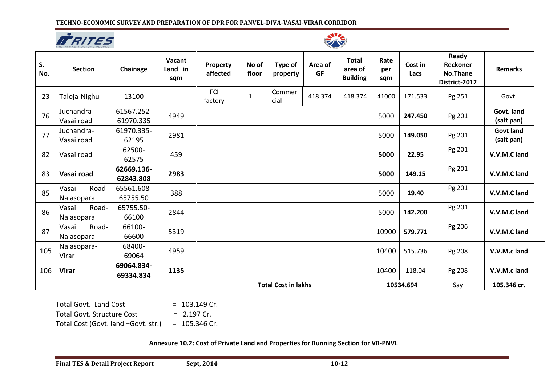



| S.<br>No. | <b>Section</b>               | Chainage                | Vacant<br>Land in<br>sqm | Property<br>affected | No of<br>floor | <b>Type of</b><br>property | Area of<br><b>GF</b> | <b>Total</b><br>area of<br><b>Building</b> | Rate<br>per<br>sqm | Cost in<br>Lacs | Ready<br>Reckoner<br>No.Thane<br>District-2012 | <b>Remarks</b>                 |
|-----------|------------------------------|-------------------------|--------------------------|----------------------|----------------|----------------------------|----------------------|--------------------------------------------|--------------------|-----------------|------------------------------------------------|--------------------------------|
| 23        | Taloja-Nighu                 | 13100                   |                          | FCI<br>factory       | $\mathbf{1}$   | Commer<br>cial             | 418.374              | 418.374                                    | 41000              | 171.533         | Pg.251                                         | Govt.                          |
| 76        | Juchandra-<br>Vasai road     | 61567.252-<br>61970.335 | 4949                     |                      |                |                            |                      |                                            | 5000               | 247.450         | Pg.201                                         | Govt. land<br>(salt pan)       |
| 77        | Juchandra-<br>Vasai road     | 61970.335-<br>62195     | 2981                     |                      |                |                            |                      |                                            | 5000               | 149.050         | Pg.201                                         | <b>Govt land</b><br>(salt pan) |
| 82        | Vasai road                   | 62500-<br>62575         | 459                      |                      |                |                            |                      |                                            | 5000               | 22.95           | Pg.201                                         | V.V.M.C land                   |
| 83        | Vasai road                   | 62669.136-<br>62843.808 | 2983                     |                      |                |                            |                      |                                            | 5000               | 149.15          | Pg.201                                         | V.V.M.C land                   |
| 85        | Road-<br>Vasai<br>Nalasopara | 65561.608-<br>65755.50  | 388                      |                      |                |                            |                      |                                            | 5000               | 19.40           | Pg.201                                         | V.V.M.C land                   |
| 86        | Vasai<br>Road-<br>Nalasopara | 65755.50-<br>66100      | 2844                     |                      |                |                            |                      |                                            | 5000               | 142.200         | Pg.201                                         | V.V.M.C land                   |
| 87        | Road-<br>Vasai<br>Nalasopara | 66100-<br>66600         | 5319                     |                      |                |                            |                      |                                            | 10900              | 579.771         | Pg.206                                         | V.V.M.C land                   |
| 105       | Nalasopara-<br>Virar         | 68400-<br>69064         | 4959                     |                      |                |                            |                      |                                            | 10400              | 515.736         | Pg.208                                         | V.V.M.c land                   |
| 106       | <b>Virar</b>                 | 69064.834-<br>69334.834 | 1135                     |                      |                |                            |                      |                                            | 10400              | 118.04          | Pg.208                                         | V.V.M.c land                   |
|           |                              |                         |                          |                      |                | <b>Total Cost in lakhs</b> |                      |                                            |                    | 10534.694       | Say                                            | 105.346 cr.                    |

Total Govt. Land Cost  $= 103.149$  Cr. Total Govt. Structure Cost = 2.197 Cr. Total Cost (Govt. land +Govt. str.) =  $105.346$  Cr.

**Annexure 10.2: Cost of Private Land and Properties for Running Section for VR-PNVL**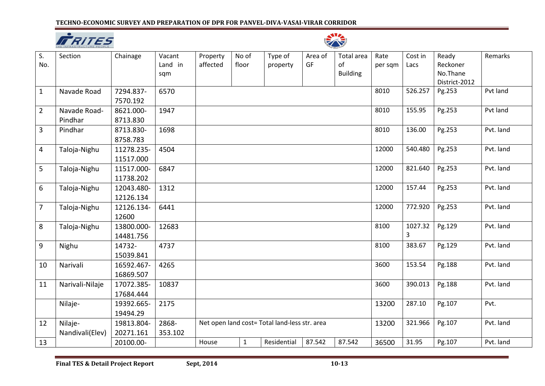



| S.<br>No.      | Section                    | Chainage                | Vacant<br>Land in<br>sqm | Property<br>affected | No of<br>floor                                | Type of<br>property | Area of<br>GF | <b>Total</b> area<br>of<br><b>Building</b> | Rate<br>per sqm | Cost in<br>Lacs | Ready<br>Reckoner<br>No.Thane<br>District-2012 | Remarks   |
|----------------|----------------------------|-------------------------|--------------------------|----------------------|-----------------------------------------------|---------------------|---------------|--------------------------------------------|-----------------|-----------------|------------------------------------------------|-----------|
| $\mathbf{1}$   | Navade Road                | 7294.837-<br>7570.192   | 6570                     |                      |                                               |                     |               |                                            | 8010            | 526.257         | Pg.253                                         | Pvt land  |
| $\overline{2}$ | Navade Road-<br>Pindhar    | 8621.000-<br>8713.830   | 1947                     |                      |                                               |                     |               |                                            | 8010            | 155.95          | Pg.253                                         | Pvt land  |
| $\mathbf{3}$   | Pindhar                    | 8713.830-<br>8758.783   | 1698                     |                      |                                               |                     |               |                                            | 8010            | 136.00          | Pg.253                                         | Pvt. land |
| $\overline{4}$ | Taloja-Nighu               | 11278.235-<br>11517.000 | 4504                     |                      |                                               |                     |               |                                            | 12000           | 540.480         | Pg.253                                         | Pvt. land |
| 5              | Taloja-Nighu               | 11517.000-<br>11738.202 | 6847                     |                      |                                               |                     |               |                                            | 12000           | 821.640         | Pg.253                                         | Pvt. land |
| 6              | Taloja-Nighu               | 12043.480-<br>12126.134 | 1312                     |                      |                                               |                     |               |                                            | 12000           | 157.44          | Pg.253                                         | Pvt. land |
| $\overline{7}$ | Taloja-Nighu               | 12126.134-<br>12600     | 6441                     |                      |                                               |                     |               |                                            | 12000           | 772.920         | Pg.253                                         | Pvt. land |
| 8              | Taloja-Nighu               | 13800.000-<br>14481.756 | 12683                    |                      |                                               |                     |               |                                            | 8100            | 1027.32<br>3    | Pg.129                                         | Pvt. land |
| 9              | Nighu                      | 14732-<br>15039.841     | 4737                     |                      |                                               |                     |               |                                            | 8100            | 383.67          | Pg.129                                         | Pvt. land |
| 10             | Narivali                   | 16592.467-<br>16869.507 | 4265                     |                      |                                               |                     |               |                                            | 3600            | 153.54          | Pg.188                                         | Pvt. land |
| 11             | Narivali-Nilaje            | 17072.385-<br>17684.444 | 10837                    |                      |                                               |                     |               |                                            | 3600            | 390.013         | Pg.188                                         | Pvt. land |
|                | Nilaje-                    | 19392.665-<br>19494.29  | 2175                     |                      |                                               |                     |               |                                            | 13200           | 287.10          | Pg.107                                         | Pvt.      |
| 12             | Nilaje-<br>Nandivali(Elev) | 19813.804-<br>20271.161 | 2868-<br>353.102         |                      | Net open land cost= Total land-less str. area |                     |               |                                            |                 | 321.966         | Pg.107                                         | Pvt. land |
| 13             |                            | 20100.00-               |                          | House                | $\mathbf{1}$                                  | Residential         | 87.542        | 87.542                                     | 36500           | 31.95           | Pg.107                                         | Pvt. land |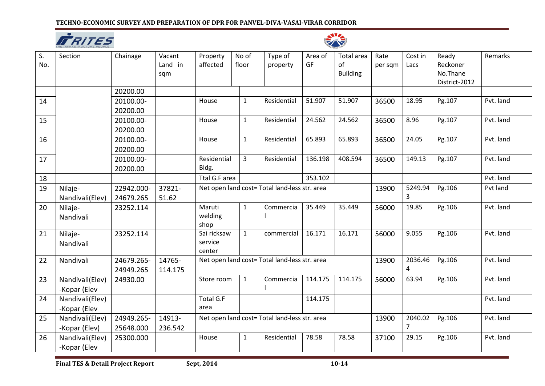



| $\overline{\mathsf{S}}$ .<br>No. | Section         | Chainage   | Vacant<br>Land in<br>sqm | Property<br>affected | No of<br>floor | Type of<br>property                           | Area of<br>GF | Total area<br>of<br><b>Building</b> | Rate<br>per sqm | Cost in<br>Lacs | Ready<br>Reckoner<br>No.Thane<br>District-2012 | Remarks   |
|----------------------------------|-----------------|------------|--------------------------|----------------------|----------------|-----------------------------------------------|---------------|-------------------------------------|-----------------|-----------------|------------------------------------------------|-----------|
|                                  |                 | 20200.00   |                          |                      |                |                                               |               |                                     |                 |                 |                                                |           |
| 14                               |                 | 20100.00-  |                          | House                | $\mathbf{1}$   | Residential                                   | 51.907        | 51.907                              | 36500           | 18.95           | Pg.107                                         | Pvt. land |
|                                  |                 | 20200.00   |                          |                      |                |                                               |               |                                     |                 |                 |                                                |           |
| 15                               |                 | 20100.00-  |                          | House                | $\mathbf{1}$   | Residential                                   | 24.562        | 24.562                              | 36500           | 8.96            | Pg.107                                         | Pvt. land |
|                                  |                 | 20200.00   |                          |                      |                |                                               |               |                                     |                 |                 |                                                |           |
| 16                               |                 | 20100.00-  |                          | House                | $\mathbf{1}$   | Residential                                   | 65.893        | 65.893                              | 36500           | 24.05           | Pg.107                                         | Pvt. land |
|                                  |                 | 20200.00   |                          |                      |                |                                               |               |                                     |                 |                 |                                                |           |
| 17                               |                 | 20100.00-  |                          | Residential          | $\overline{3}$ | Residential                                   | 136.198       | 408.594                             | 36500           | 149.13          | Pg.107                                         | Pvt. land |
|                                  |                 | 20200.00   |                          | Bldg.                |                |                                               |               |                                     |                 |                 |                                                |           |
| 18                               |                 |            |                          | Ttal G.F area        |                |                                               | 353.102       |                                     |                 |                 |                                                | Pvt. land |
| 19                               | Nilaje-         | 22942.000- | 37821-                   |                      |                | Net open land cost= Total land-less str. area |               |                                     | 13900           | 5249.94         | Pg.106                                         | Pvt land  |
|                                  | Nandivali(Elev) | 24679.265  | 51.62                    |                      |                |                                               |               |                                     |                 | 3               |                                                |           |
| 20                               | Nilaje-         | 23252.114  |                          | Maruti               | $\mathbf{1}$   | Commercia                                     | 35.449        | 35.449                              | 56000           | 19.85           | Pg.106                                         | Pvt. land |
|                                  | Nandivali       |            |                          | welding              |                |                                               |               |                                     |                 |                 |                                                |           |
|                                  |                 |            |                          | shop<br>Sai ricksaw  |                |                                               |               |                                     |                 |                 |                                                |           |
| 21                               | Nilaje-         | 23252.114  |                          | service              | $\mathbf{1}$   | commercial                                    | 16.171        | 16.171                              | 56000           | 9.055           | Pg.106                                         | Pvt. land |
|                                  | Nandivali       |            |                          | center               |                |                                               |               |                                     |                 |                 |                                                |           |
| 22                               | Nandivali       | 24679.265- | 14765-                   |                      |                | Net open land cost= Total land-less str. area |               |                                     | 13900           | 2036.46         | Pg.106                                         | Pvt. land |
|                                  |                 | 24949.265  | 114.175                  |                      |                |                                               |               |                                     |                 | 4               |                                                |           |
| 23                               | Nandivali(Elev) | 24930.00   |                          | Store room           | $\mathbf{1}$   | Commercia                                     | 114.175       | 114.175                             | 56000           | 63.94           | Pg.106                                         | Pvt. land |
|                                  | -Kopar (Elev    |            |                          |                      |                |                                               |               |                                     |                 |                 |                                                |           |
| 24                               | Nandivali(Elev) |            |                          | <b>Total G.F</b>     |                |                                               | 114.175       |                                     |                 |                 |                                                | Pvt. land |
|                                  | -Kopar (Elev    |            |                          | area                 |                |                                               |               |                                     |                 |                 |                                                |           |
| 25                               | Nandivali(Elev) | 24949.265- | 14913-                   |                      |                | Net open land cost= Total land-less str. area |               |                                     | 13900           | 2040.02         | Pg.106                                         | Pvt. land |
|                                  | -Kopar (Elev)   | 25648.000  | 236.542                  |                      |                |                                               |               |                                     | $\overline{7}$  |                 |                                                |           |
| 26                               | Nandivali(Elev) | 25300.000  |                          | House                | $\mathbf{1}$   | Residential                                   | 78.58         | 78.58                               | 37100           | 29.15           | Pg.106                                         | Pvt. land |
|                                  | -Kopar (Elev    |            |                          |                      |                |                                               |               |                                     |                 |                 |                                                |           |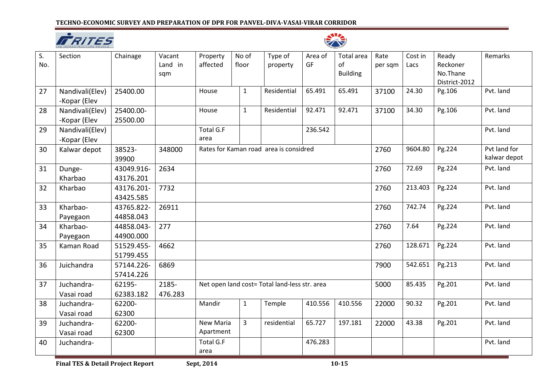



| S.<br>No. | Section                         | Chainage                | Vacant<br>Land in<br>sqm | Property<br>affected          | No of<br>floor | Type of<br>property                           | Area of<br>GF | Total area<br>of<br><b>Building</b> | Rate<br>per sqm | Cost in<br>Lacs | Ready<br>Reckoner<br>No.Thane<br>District-2012 | Remarks                      |
|-----------|---------------------------------|-------------------------|--------------------------|-------------------------------|----------------|-----------------------------------------------|---------------|-------------------------------------|-----------------|-----------------|------------------------------------------------|------------------------------|
| 27        | Nandivali(Elev)<br>-Kopar (Elev | 25400.00                |                          | House                         | $\mathbf{1}$   | Residential                                   | 65.491        | 65.491                              | 37100           | 24.30           | Pg.106                                         | Pvt. land                    |
| 28        | Nandivali(Elev)<br>-Kopar (Elev | 25400.00-<br>25500.00   |                          | House                         | $\mathbf{1}$   | Residential                                   | 92.471        | 92.471                              | 37100           | 34.30           | Pg.106                                         | Pvt. land                    |
| 29        | Nandivali(Elev)<br>-Kopar (Elev |                         |                          | <b>Total G.F</b><br>area      |                |                                               | 236.542       |                                     |                 |                 |                                                | Pvt. land                    |
| 30        | Kalwar depot                    | 38523-<br>39900         | 348000                   |                               |                | Rates for Kaman road area is considred        |               |                                     | 2760            | 9604.80         | Pg.224                                         | Pvt land for<br>kalwar depot |
| 31        | Dunge-<br>Kharbao               | 43049.916-<br>43176.201 | 2634                     |                               |                |                                               |               |                                     | 2760            | 72.69           | Pg.224                                         | Pvt. land                    |
| 32        | Kharbao                         | 43176.201-<br>43425.585 | 7732                     |                               |                |                                               |               |                                     | 2760            | 213.403         | Pg.224                                         | Pvt. land                    |
| 33        | Kharbao-<br>Payegaon            | 43765.822-<br>44858.043 | 26911                    |                               |                |                                               |               |                                     | 2760            | 742.74          | Pg.224                                         | Pvt. land                    |
| 34        | Kharbao-<br>Payegaon            | 44858.043-<br>44900.000 | 277                      |                               |                |                                               |               |                                     | 2760            | 7.64            | Pg.224                                         | Pvt. land                    |
| 35        | Kaman Road                      | 51529.455-<br>51799.455 | 4662                     |                               |                |                                               |               |                                     | 2760            | 128.671         | Pg.224                                         | Pvt. land                    |
| 36        | Juichandra                      | 57144.226-<br>57414.226 | 6869                     |                               |                |                                               |               |                                     | 7900            | 542.651         | Pg.213                                         | Pvt. land                    |
| 37        | Juchandra-<br>Vasai road        | 62195-<br>62383.182     | 2185-<br>476.283         |                               |                | Net open land cost= Total land-less str. area |               |                                     | 5000            | 85.435          | Pg.201                                         | Pvt. land                    |
| 38        | Juchandra-<br>Vasai road        | 62200-<br>62300         |                          | Mandir                        | $\mathbf{1}$   | Temple                                        | 410.556       | 410.556                             | 22000           | 90.32           | Pg.201                                         | Pvt. land                    |
| 39        | Juchandra-<br>Vasai road        | 62200-<br>62300         |                          | <b>New Maria</b><br>Apartment | $\overline{3}$ | residential                                   | 65.727        | 197.181                             | 22000           | 43.38           | Pg.201                                         | Pvt. land                    |
| 40        | Juchandra-                      |                         |                          | Total G.F<br>area             |                |                                               | 476.283       |                                     |                 |                 |                                                | Pvt. land                    |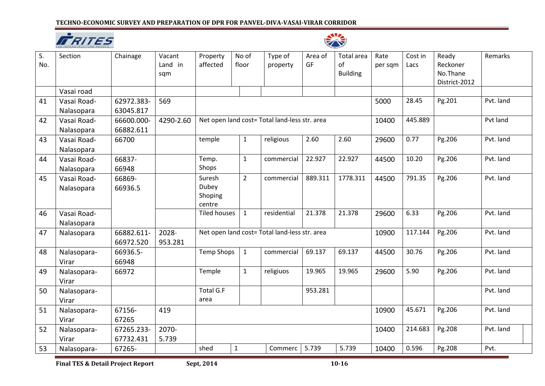



| S.<br>No. | Section     | Chainage   | Vacant<br>Land in<br>sqm | Property<br>affected | No of<br>floor                                | Type of<br>property                           | Area of<br>GF | Total area<br>of<br><b>Building</b> | Rate<br>per sqm | Cost in<br>Lacs | Ready<br>Reckoner<br>No.Thane<br>District-2012 | Remarks   |
|-----------|-------------|------------|--------------------------|----------------------|-----------------------------------------------|-----------------------------------------------|---------------|-------------------------------------|-----------------|-----------------|------------------------------------------------|-----------|
|           | Vasai road  |            |                          |                      |                                               |                                               |               |                                     |                 |                 |                                                |           |
| 41        | Vasai Road- | 62972.383- | 569                      |                      |                                               |                                               |               |                                     | 5000            | 28.45           | Pg.201                                         | Pvt. land |
|           | Nalasopara  | 63045.817  |                          |                      |                                               |                                               |               |                                     | 10400           | 445.889         |                                                |           |
| 42        | Vasai Road- | 66600.000- | 4290-2.60                |                      | Net open land cost= Total land-less str. area |                                               |               |                                     |                 |                 |                                                | Pvt land  |
|           | Nalasopara  | 66882.611  |                          |                      |                                               |                                               |               |                                     |                 |                 |                                                |           |
| 43        | Vasai Road- | 66700      |                          | temple               | $\mathbf{1}$                                  | religious                                     | 2.60          | 2.60                                | 29600           | 0.77            | Pg.206                                         | Pvt. land |
|           | Nalasopara  |            |                          |                      |                                               |                                               |               |                                     |                 |                 |                                                |           |
| 44        | Vasai Road- | 66837-     |                          | Temp.                | $\mathbf{1}$                                  | commercial                                    | 22.927        | 22.927                              | 44500           | 10.20           | Pg.206                                         | Pvt. land |
|           | Nalasopara  | 66948      |                          | Shops                |                                               |                                               |               |                                     |                 |                 |                                                |           |
| 45        | Vasai Road- | 66869-     |                          | Suresh               | $\overline{2}$                                | commercial                                    | 889.311       | 1778.311                            | 44500           | 791.35          | Pg.206                                         | Pvt. land |
|           | Nalasopara  | 66936.5    |                          | Dubey<br>Shoping     |                                               |                                               |               |                                     |                 |                 |                                                |           |
|           |             |            |                          | centre               |                                               |                                               |               |                                     |                 |                 |                                                |           |
| 46        | Vasai Road- |            |                          | <b>Tiled houses</b>  | $\mathbf{1}$                                  | residential                                   | 21.378        | 21.378                              | 29600           | 6.33            | Pg.206                                         | Pvt. land |
|           | Nalasopara  |            |                          |                      |                                               |                                               |               |                                     |                 |                 |                                                |           |
| 47        | Nalasopara  | 66882.611- | 2028-                    |                      |                                               | Net open land cost= Total land-less str. area |               |                                     | 10900           | 117.144         | Pg.206                                         | Pvt. land |
|           |             | 66972.520  | 953.281                  |                      |                                               |                                               |               |                                     |                 |                 |                                                |           |
| 48        | Nalasopara- | 66936.5-   |                          | <b>Temp Shops</b>    | $\mathbf 1$                                   | commercial                                    | 69.137        | 69.137                              | 44500           | 30.76           | Pg.206                                         | Pvt. land |
|           | Virar       | 66948      |                          |                      |                                               |                                               |               |                                     |                 |                 |                                                |           |
| 49        | Nalasopara- | 66972      |                          | Temple               | $\mathbf{1}$                                  | religiuos                                     | 19.965        | 19.965                              | 29600           | 5.90            | Pg.206                                         | Pvt. land |
|           | Virar       |            |                          |                      |                                               |                                               |               |                                     |                 |                 |                                                |           |
| 50        | Nalasopara- |            |                          | Total G.F            |                                               |                                               | 953.281       |                                     |                 |                 |                                                | Pvt. land |
|           | Virar       |            |                          | area                 |                                               |                                               |               |                                     |                 |                 |                                                |           |
| 51        | Nalasopara- | 67156-     | 419                      |                      |                                               |                                               |               |                                     | 10900           | 45.671          | Pg.206                                         | Pvt. land |
|           | Virar       | 67265      |                          |                      |                                               |                                               |               |                                     |                 |                 |                                                |           |
| 52        | Nalasopara- | 67265.233- | 2070-                    |                      |                                               |                                               |               | 10400                               | 214.683         | Pg.208          | Pvt. land                                      |           |
|           | Virar       | 67732.431  | 5.739                    |                      |                                               |                                               |               |                                     |                 |                 |                                                |           |
| 53        | Nalasopara- | 67265-     |                          | shed                 | $\mathbf{1}$                                  | Commerc                                       | 5.739         | 5.739                               | 10400           | 0.596           | Pg.208                                         | Pvt.      |